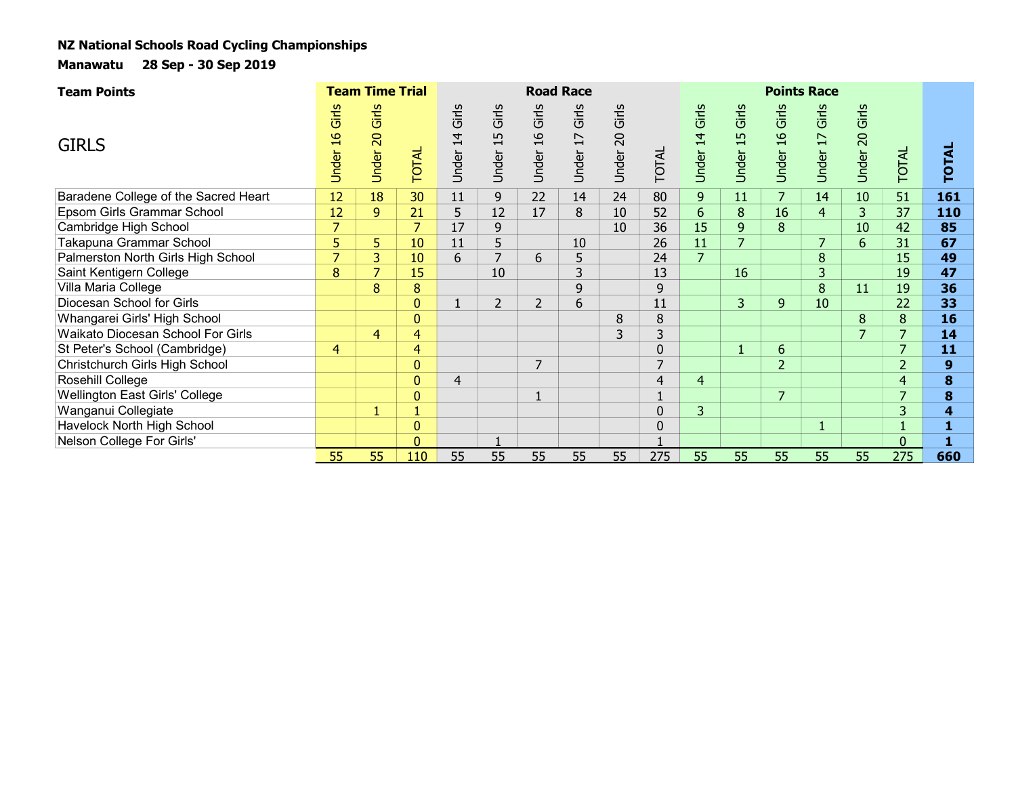| <b>Team Points</b>                   |                      | <b>Team Time Trial</b>                  |              |                                  |                      |                                 | <b>Road Race</b>                                                       |                                  |                |                                  |                      |                                 | <b>Points Race</b>                |                          |                          |              |  |
|--------------------------------------|----------------------|-----------------------------------------|--------------|----------------------------------|----------------------|---------------------------------|------------------------------------------------------------------------|----------------------------------|----------------|----------------------------------|----------------------|---------------------------------|-----------------------------------|--------------------------|--------------------------|--------------|--|
| <b>GIRLS</b>                         | Girls<br>91<br>Under | Girls<br>$\overline{5}$<br><b>Under</b> | <b>TOTAL</b> | Girls<br>$\overline{4}$<br>Under | Girls<br>15<br>Under | Girls<br>$\frac{1}{6}$<br>Under | Girls<br>$\overline{\phantom{0}}$<br>$\overline{\phantom{0}}$<br>Under | Girls<br>$\overline{0}$<br>Under | TOTAL          | Girls<br>$\overline{4}$<br>Under | Girls<br>15<br>Under | Girls<br>$\frac{9}{4}$<br>Under | Girls<br>$\overline{17}$<br>Under | Girls<br>20<br>Under     | <b>TOTAL</b>             | <b>TOTAL</b> |  |
| Baradene College of the Sacred Heart | 12                   | 18                                      | 30           | 11                               | 9                    | 22                              | 14                                                                     | 24                               | 80             | 9                                | 11                   |                                 | 14                                | 10                       | 51                       | 161          |  |
| Epsom Girls Grammar School           | 12                   | 9                                       | 21           | 5                                | 12                   | 17                              | 8                                                                      | 10                               | 52             | 6                                | 8                    | 16                              | $\overline{4}$                    | 3                        | 37                       | 110          |  |
| Cambridge High School                | $\overline{7}$       |                                         |              | 17                               | 9                    |                                 |                                                                        | 10                               | 36             | 15                               | 9                    | 8                               |                                   | 10                       | 42                       | 85           |  |
| Takapuna Grammar School              | 5                    | 5                                       | 10           | 11                               | 5                    |                                 | 10                                                                     |                                  | 26             | 11                               | 7                    |                                 |                                   | 6                        | 31                       | 67           |  |
| Palmerston North Girls High School   | $\overline{7}$       | 3                                       | 10           | 6                                | $\overline{7}$       | 6                               | 5                                                                      |                                  | 24             | $\overline{7}$                   |                      |                                 | $\bf 8$                           |                          | 15                       | 49           |  |
| Saint Kentigern College              | 8                    | $\overline{7}$                          | 15           |                                  | 10                   |                                 | 3                                                                      |                                  | 13             |                                  | 16                   |                                 | 3                                 |                          | 19                       | 47           |  |
| Villa Maria College                  |                      | 8                                       | 8            |                                  |                      |                                 | 9                                                                      |                                  | 9              |                                  |                      |                                 | $\bf 8$                           | 11                       | 19                       | 36           |  |
| Diocesan School for Girls            |                      |                                         |              | $\mathbf{1}$                     | $\overline{2}$       | $\overline{2}$                  | 6                                                                      |                                  | 11             |                                  | 3                    | 9                               | 10                                |                          | 22                       | 33           |  |
| Whangarei Girls' High School         |                      |                                         | $\mathbf{0}$ |                                  |                      |                                 |                                                                        | 8                                | 8              |                                  |                      |                                 |                                   | 8                        | 8                        | 16           |  |
| Waikato Diocesan School For Girls    |                      | $\overline{4}$                          | 4            |                                  |                      |                                 |                                                                        | 3                                | 3              |                                  |                      |                                 |                                   | $\overline{\phantom{0}}$ |                          | 14           |  |
| St Peter's School (Cambridge)        | $\overline{4}$       |                                         | 4            |                                  |                      |                                 |                                                                        |                                  | 0              |                                  |                      | 6                               |                                   |                          |                          | 11           |  |
| Christchurch Girls High School       |                      |                                         | 0            |                                  |                      | $\overline{7}$                  |                                                                        |                                  | $\overline{7}$ |                                  |                      | $\overline{2}$                  |                                   |                          | $\overline{2}$           | 9            |  |
| Rosehill College                     |                      |                                         | 0            | $\overline{4}$                   |                      |                                 |                                                                        |                                  | 4              | $\overline{4}$                   |                      |                                 |                                   |                          | $\overline{4}$           | 8            |  |
| Wellington East Girls' College       |                      |                                         | $\mathbf{0}$ |                                  |                      |                                 |                                                                        |                                  |                |                                  |                      | $\overline{7}$                  |                                   |                          | $\overline{\phantom{a}}$ | 8            |  |
| Wanganui Collegiate                  |                      |                                         |              |                                  |                      |                                 |                                                                        |                                  | 0              | 3                                |                      |                                 |                                   |                          | $\overline{3}$           | 4            |  |
| Havelock North High School           |                      |                                         |              |                                  |                      |                                 |                                                                        |                                  | 0              |                                  |                      |                                 | L,                                |                          |                          |              |  |
| Nelson College For Girls'            |                      |                                         | n            |                                  |                      |                                 |                                                                        |                                  |                |                                  |                      |                                 |                                   |                          | $\Omega$                 |              |  |
|                                      | 55                   | 55.                                     | 110          | 55                               | 55                   | 55                              | 55                                                                     | 55                               | 275            | 55                               | 55                   | 55                              | 55                                | 55                       | 275                      | 660          |  |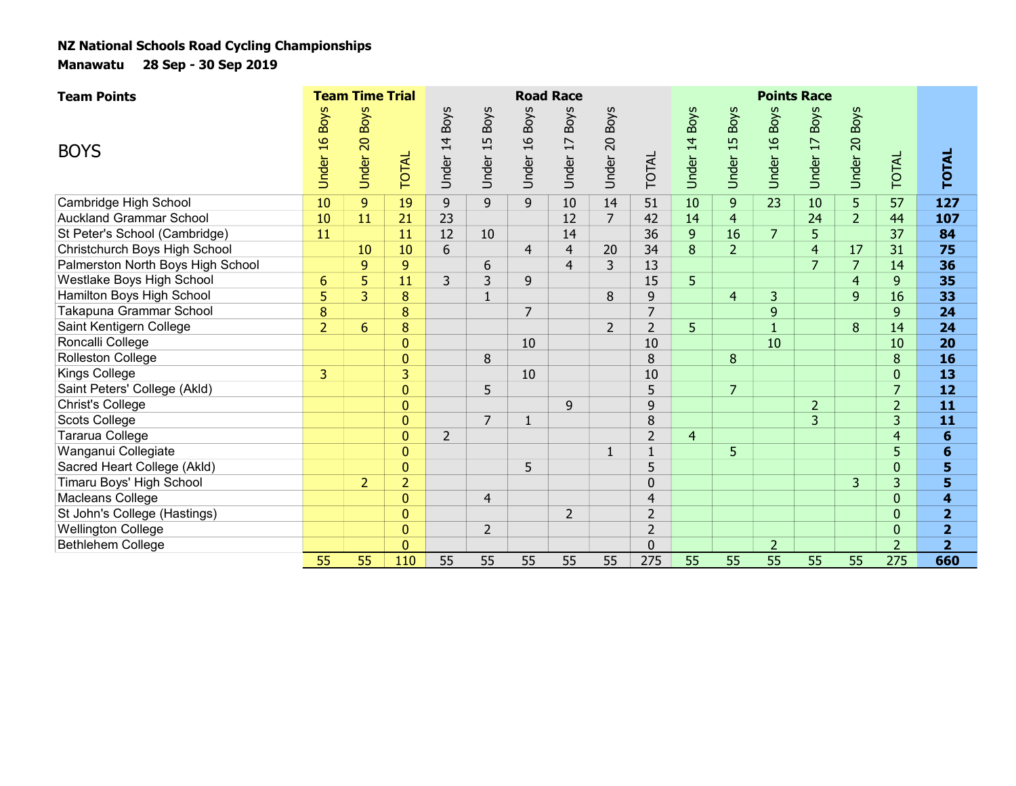| <b>Team Points</b>                |                 | <b>Team Time Trial</b>  |                |                            |                                   |                                        | <b>Road Race</b>           |                |                |                  |                         |                                        | <b>Points Race</b>                     |                         |                |                         |  |
|-----------------------------------|-----------------|-------------------------|----------------|----------------------------|-----------------------------------|----------------------------------------|----------------------------|----------------|----------------|------------------|-------------------------|----------------------------------------|----------------------------------------|-------------------------|----------------|-------------------------|--|
| <b>BOYS</b>                       | Under 16 Boys   | <b>Boys</b><br>Under 20 | <b>TOTAL</b>   | <b>Boys</b><br>14<br>Under | <b>Boys</b><br>15<br><b>Under</b> | <b>Boys</b><br>$\overline{a}$<br>Under | <b>Boys</b><br>17<br>Under | Under 20 Boys  | TOTAL          | 14 Boys<br>Under | <b>Boys</b><br>Under 15 | <b>Boys</b><br>$\overline{a}$<br>Under | <b>Boys</b><br>$\overline{1}$<br>Under | <b>Boys</b><br>Under 20 | <b>TOTAL</b>   | <b>TOTAL</b>            |  |
| Cambridge High School             | 10              | 9                       | 19             | 9                          | 9                                 | 9                                      | 10                         | 14             | 51             | 10               | 9                       | 23                                     | 10                                     | 5                       | 57             | 127                     |  |
| <b>Auckland Grammar School</b>    | 10              | 11                      | 21             | 23                         |                                   |                                        | 12                         | $\overline{7}$ | 42             | 14               | $\overline{4}$          |                                        | 24                                     | $\overline{2}$          | 44             | 107                     |  |
| St Peter's School (Cambridge)     | 11              |                         | 11             | 12                         | 10                                |                                        | 14                         |                | 36             | $\overline{9}$   | 16                      | $\overline{7}$                         | 5                                      |                         | 37             | 84                      |  |
| Christchurch Boys High School     |                 | 10                      | 10             | 6                          |                                   | $\overline{4}$                         | 4                          | 20             | 34             | 8                | $\overline{2}$          |                                        | $\overline{4}$                         | 17                      | 31             | 75                      |  |
| Palmerston North Boys High School |                 | 9                       | 9              |                            | 6                                 |                                        | $\overline{4}$             | 3              | 13             |                  |                         |                                        | $\overline{7}$                         | 7                       | 14             | 36                      |  |
| Westlake Boys High School         | $6\phantom{1}6$ | 5                       | 11             | 3                          | $\overline{3}$                    | 9                                      |                            |                | 15             | 5                |                         |                                        |                                        | $\overline{4}$          | $\mathbf{9}$   | 35                      |  |
| Hamilton Boys High School         | 5               | 3                       | 8              |                            | $\mathbf{1}$                      |                                        |                            | 8              | 9              |                  | $\overline{4}$          | 3                                      |                                        | $\overline{9}$          | 16             | 33                      |  |
| Takapuna Grammar School           | 8               |                         | 8              |                            |                                   | $\overline{7}$                         |                            |                | $\overline{7}$ |                  |                         | 9                                      |                                        |                         | 9              | 24                      |  |
| Saint Kentigern College           | $\overline{2}$  | $6\phantom{1}$          | 8              |                            |                                   |                                        |                            | $\overline{2}$ | $\overline{2}$ | 5                |                         | $\mathbf{1}$                           |                                        | 8                       | 14             | 24                      |  |
| Roncalli College                  |                 |                         | 0              |                            |                                   | 10                                     |                            |                | 10             |                  |                         | 10                                     |                                        |                         | 10             | 20                      |  |
| <b>Rolleston College</b>          |                 |                         | $\overline{0}$ |                            | 8                                 |                                        |                            |                | 8              |                  | 8                       |                                        |                                        |                         | 8              | 16                      |  |
| <b>Kings College</b>              | 3               |                         | 3              |                            |                                   | 10                                     |                            |                | 10             |                  |                         |                                        |                                        |                         | $\mathbf{0}$   | 13                      |  |
| Saint Peters' College (Akld)      |                 |                         | $\mathbf{0}$   |                            | 5                                 |                                        |                            |                | 5              |                  | $\overline{7}$          |                                        |                                        |                         | $\overline{7}$ | 12                      |  |
| <b>Christ's College</b>           |                 |                         | $\mathbf{0}$   |                            |                                   |                                        | 9                          |                | 9              |                  |                         |                                        | $\overline{2}$                         |                         | $\overline{2}$ | 11                      |  |
| Scots College                     |                 |                         | $\mathbf{0}$   |                            | $\overline{7}$                    | $\mathbf{1}$                           |                            |                | $\, 8$         |                  |                         |                                        | 3                                      |                         | 3              | 11                      |  |
| Tararua College                   |                 |                         | $\mathbf{0}$   | $\overline{2}$             |                                   |                                        |                            |                | $\overline{2}$ | $\overline{4}$   |                         |                                        |                                        |                         | $\overline{4}$ | 6                       |  |
| Wanganui Collegiate               |                 |                         | $\overline{0}$ |                            |                                   |                                        |                            | $\mathbf{1}$   |                |                  | 5                       |                                        |                                        |                         | 5              | 6                       |  |
| Sacred Heart College (Akld)       |                 |                         | $\mathbf{0}$   |                            |                                   | 5                                      |                            |                | 5              |                  |                         |                                        |                                        |                         | $\mathbf 0$    | 5                       |  |
| Timaru Boys' High School          |                 | $\overline{2}$          | $\overline{2}$ |                            |                                   |                                        |                            |                | $\mathbf 0$    |                  |                         |                                        |                                        | 3                       | $\overline{3}$ | 5                       |  |
| Macleans College                  |                 |                         | $\mathbf{0}$   |                            | $\overline{4}$                    |                                        |                            |                | $\overline{4}$ |                  |                         |                                        |                                        |                         | $\mathbf{0}$   | $\overline{\mathbf{4}}$ |  |
| St John's College (Hastings)      |                 |                         | $\mathbf{0}$   |                            |                                   |                                        | $\overline{2}$             |                | $\overline{2}$ |                  |                         |                                        |                                        |                         | $\mathbf{0}$   | $\overline{2}$          |  |
| <b>Wellington College</b>         |                 |                         | $\overline{0}$ |                            | $\overline{2}$                    |                                        |                            |                | $\overline{2}$ |                  |                         |                                        |                                        |                         | $\mathbf{0}$   | $\overline{\mathbf{2}}$ |  |
| Bethlehem College                 |                 |                         | $\Omega$       |                            |                                   |                                        |                            |                | $\Omega$       |                  |                         | $\overline{2}$                         |                                        |                         | $\overline{2}$ | $\overline{2}$          |  |
|                                   | 55              | 55                      | 110            | 55                         | 55                                | 55                                     | 55                         | 55             | 275            | 55               | 55                      | 55                                     | 55                                     | 55                      | 275            | 660                     |  |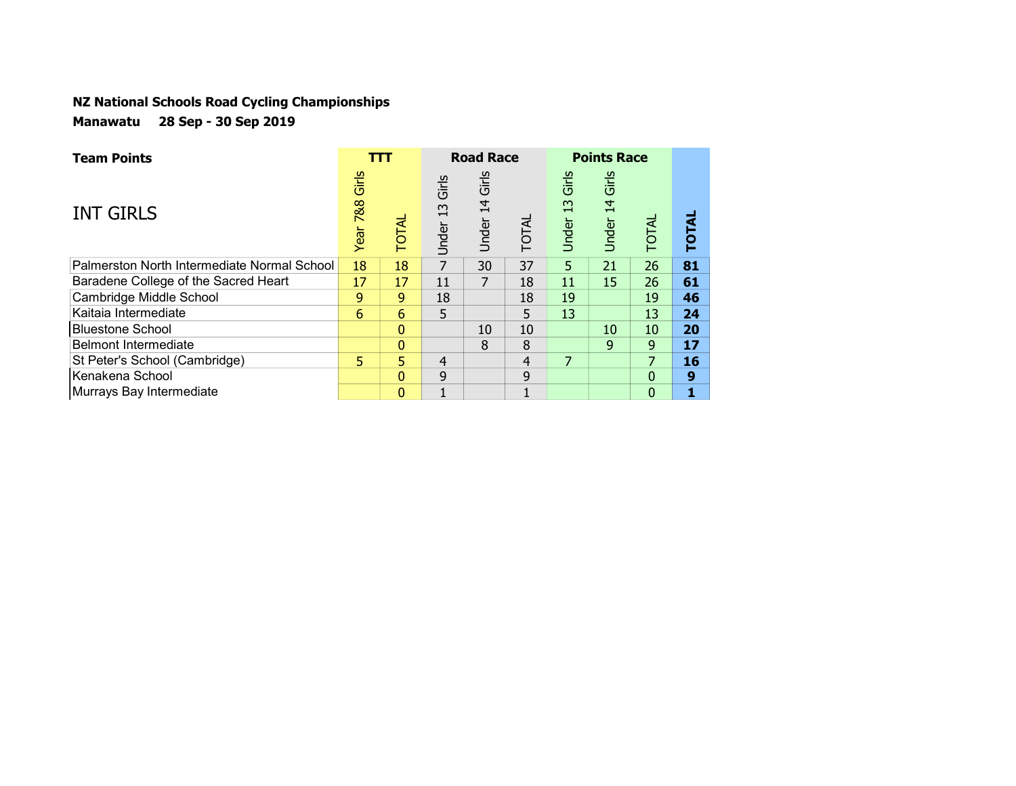| <b>Team Points</b>                          |                      | ттт            |                      | <b>Road Race</b>                 |              |                      | <b>Points Race</b>   |                |              |
|---------------------------------------------|----------------------|----------------|----------------------|----------------------------------|--------------|----------------------|----------------------|----------------|--------------|
| <b>INT GIRLS</b>                            | Girls<br>788<br>Year | <b>TOTAL</b>   | Girls<br>13<br>Under | Girls<br>$\overline{4}$<br>Under | <b>TOTAL</b> | Girls<br>13<br>Under | Girls<br>14<br>Under | TOTAL          | <b>TOTAL</b> |
| Palmerston North Intermediate Normal School | 18                   | 18             | $\overline{7}$       | 30                               | 37           | 5                    | 21                   | 26             | 81           |
| Baradene College of the Sacred Heart        | 17                   | 17             | 11                   |                                  | 18           | 11                   | 15                   | 26             | 61           |
| Cambridge Middle School                     | 9                    | 9 <sup>°</sup> | 18                   |                                  | 18           | 19                   |                      | 19             | 46           |
| Kaitaia Intermediate                        | 6                    | 6              | 5                    |                                  | 5            | 13                   |                      | 13             | 24           |
| <b>Bluestone School</b>                     |                      | $\mathbf{0}$   |                      | 10                               | 10           |                      | 10                   | 10             | 20           |
| Belmont Intermediate                        |                      | $\mathbf{0}$   |                      | 8                                | 8            |                      | 9                    | 9              | 17           |
| St Peter's School (Cambridge)               | 5                    | 5.             | 4                    |                                  | 4            | 7                    |                      | 7              | 16           |
| Kenakena School                             |                      | $\mathbf{0}$   | 9                    |                                  | 9            |                      |                      | 0              | 9            |
| Murrays Bay Intermediate                    |                      | $\mathbf{0}$   | ٠                    |                                  |              |                      |                      | $\overline{0}$ |              |